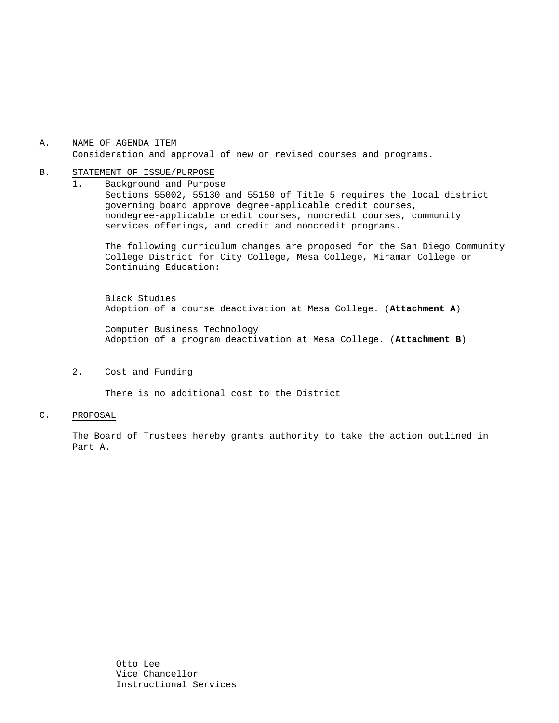#### A. NAME OF AGENDA ITEM Consideration and approval of new or revised courses and programs.

#### B. STATEMENT OF ISSUE/PURPOSE

1. Background and Purpose Sections 55002, 55130 and 55150 of Title 5 requires the local district governing board approve degree-applicable credit courses, nondegree-applicable credit courses, noncredit courses, community services offerings, and credit and noncredit programs.

The following curriculum changes are proposed for the San Diego Community College District for City College, Mesa College, Miramar College or Continuing Education:

 Black Studies Adoption of a course deactivation at Mesa College. (**Attachment A**)

Computer Business Technology Adoption of a program deactivation at Mesa College. (**Attachment B**)

2. Cost and Funding

There is no additional cost to the District

#### C. PROPOSAL

The Board of Trustees hereby grants authority to take the action outlined in Part A.

> Otto Lee Vice Chancellor Instructional Services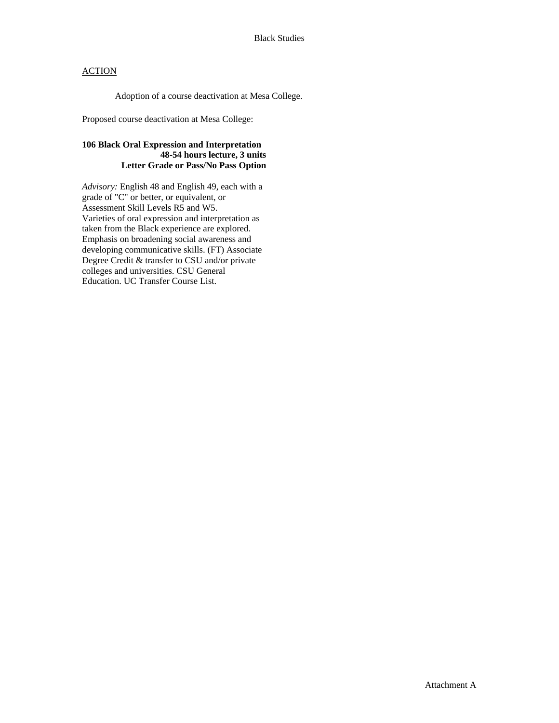## **ACTION**

Adoption of a course deactivation at Mesa College.

Proposed course deactivation at Mesa College:

### **106 Black Oral Expression and Interpretation 48-54 hours lecture, 3 units Letter Grade or Pass/No Pass Option**

*Advisory:* English 48 and English 49, each with a grade of "C" or better, or equivalent, or Assessment Skill Levels R5 and W5. Varieties of oral expression and interpretation as taken from the Black experience are explored. Emphasis on broadening social awareness and developing communicative skills. (FT) Associate Degree Credit & transfer to CSU and/or private colleges and universities. CSU General Education. UC Transfer Course List.